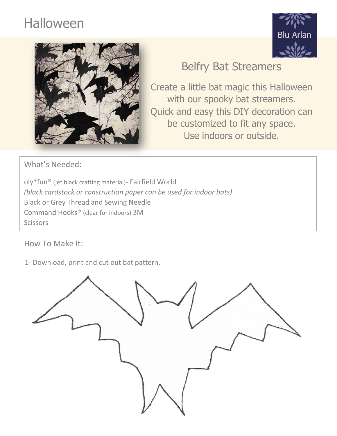## Halloween





## Belfry Bat Streamers

Create a little bat magic this Halloween with our spooky bat streamers. Quick and easy this DIY decoration can be customized to fit any space. Use indoors or outside.

What's Needed:

oly\*fun® (jet black crafting material)- Fairfield World *(black cardstock or construction paper can be used for indoor bats)* Black or Grey Thread and Sewing Needle Command Hooks® (clear for indoors) 3M **Scissors** 

How To Make It:

1- Download, print and cut out bat pattern.